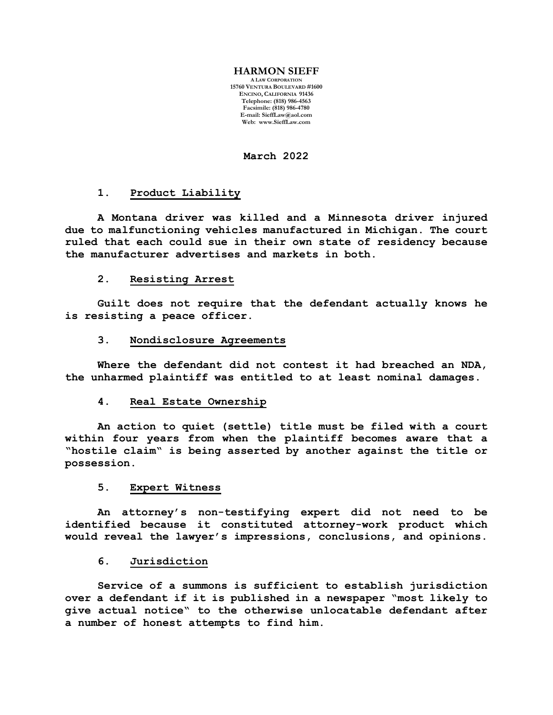#### **HARMON SIEFF**

**A LAW CORPORATION 15760 VENTURA BOULEVARD #1600 ENCINO, CALIFORNIA 91436 Telephone: (818) 986-4563 Facsimile: (818) 986-4780 E-mail[: SieffLaw@aol.com](mailto:SieffLaw@aol.com) Web: [www.SieffLaw.com](http://www.siefflaw.com/)**

**March 2022**

# **1. Product Liability**

**A Montana driver was killed and a Minnesota driver injured due to malfunctioning vehicles manufactured in Michigan. The court ruled that each could sue in their own state of residency because the manufacturer advertises and markets in both.**

### **2. Resisting Arrest**

**Guilt does not require that the defendant actually knows he is resisting a peace officer.**

### **3. Nondisclosure Agreements**

**Where the defendant did not contest it had breached an NDA, the unharmed plaintiff was entitled to at least nominal damages.** 

# **4. Real Estate Ownership**

**An action to quiet (settle) title must be filed with a court within four years from when the plaintiff becomes aware that a "hostile claim" is being asserted by another against the title or possession.**

# **5. Expert Witness**

**An attorney's non-testifying expert did not need to be identified because it constituted attorney-work product which would reveal the lawyer's impressions, conclusions, and opinions.** 

#### **6. Jurisdiction**

**Service of a summons is sufficient to establish jurisdiction over a defendant if it is published in a newspaper "most likely to give actual notice" to the otherwise unlocatable defendant after a number of honest attempts to find him.**